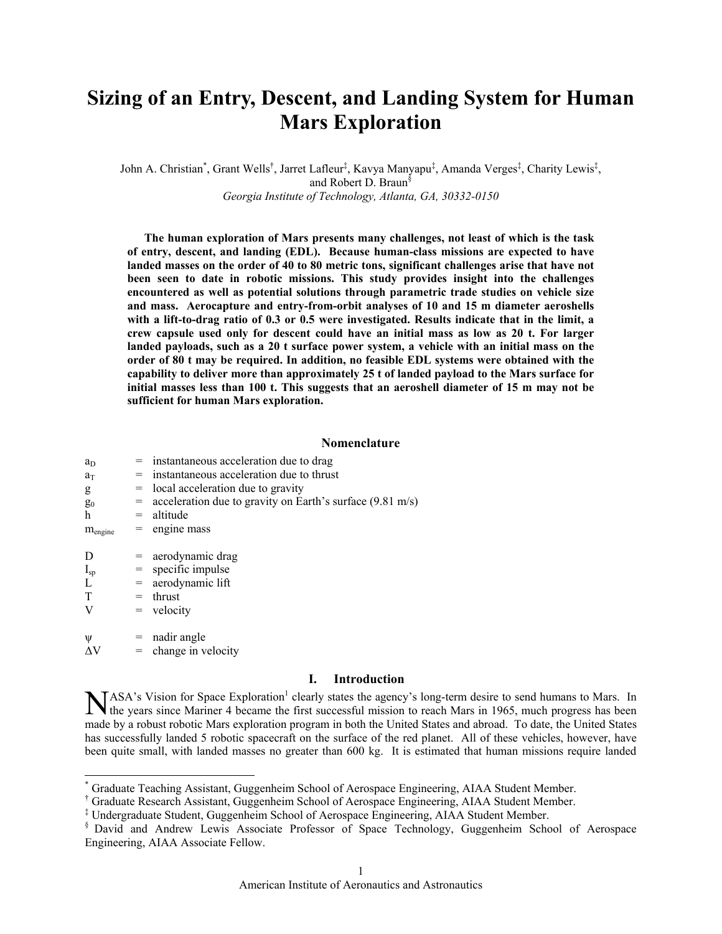# **Sizing of an Entry, Descent, and Landing System for Human Mars Exploration**

John A. Christian<sup>\*</sup>, Grant Wells<sup>†</sup>, Jarret Lafleur<sup>‡</sup>, Kavya Manyapu<sup>‡</sup>, Amanda Verges<sup>‡</sup>, Charity Lewis<sup>‡</sup>, and Robert D. Braun§ *Georgia Institute of Technology, Atlanta, GA, 30332-0150* 

**The human exploration of Mars presents many challenges, not least of which is the task of entry, descent, and landing (EDL). Because human-class missions are expected to have landed masses on the order of 40 to 80 metric tons, significant challenges arise that have not been seen to date in robotic missions. This study provides insight into the challenges encountered as well as potential solutions through parametric trade studies on vehicle size and mass. Aerocapture and entry-from-orbit analyses of 10 and 15 m diameter aeroshells with a lift-to-drag ratio of 0.3 or 0.5 were investigated. Results indicate that in the limit, a crew capsule used only for descent could have an initial mass as low as 20 t. For larger landed payloads, such as a 20 t surface power system, a vehicle with an initial mass on the order of 80 t may be required. In addition, no feasible EDL systems were obtained with the capability to deliver more than approximately 25 t of landed payload to the Mars surface for initial masses less than 100 t. This suggests that an aeroshell diameter of 15 m may not be sufficient for human Mars exploration.** 

# **Nomenclature**

| $a_D$        |     | instantaneous acceleration due to drag                        |
|--------------|-----|---------------------------------------------------------------|
| $a_T$        |     | $=$ instantaneous acceleration due to thrust                  |
| g            | =   | local acceleration due to gravity                             |
| $g_0$        |     | $=$ acceleration due to gravity on Earth's surface (9.81 m/s) |
| h            |     | $=$ altitude                                                  |
| $m_{engine}$ | =   | engine mass                                                   |
|              |     |                                                               |
| D            |     | $=$ aerodynamic drag                                          |
| $I_{sp}$     | =   | specific impulse                                              |
| L            |     | $=$ aerodynamic lift                                          |
| T            | $=$ | thrust                                                        |
| V            |     | $=$ velocity                                                  |
|              |     |                                                               |
| W            |     | $=$ nadir angle                                               |
| $\Delta V$   |     | change in velocity                                            |

 $\overline{a}$ 

# **I. Introduction**

ASA's Vision for Space Exploration<sup>1</sup> clearly states the agency's long-term desire to send humans to Mars. In **NASA's Vision for Space Exploration** clearly states the agency's long-term desire to send humans to Mars. In the years since Mariner 4 became the first successful mission to reach Mars in 1965, much progress has been made by a robust robotic Mars exploration program in both the United States and abroad. To date, the United States has successfully landed 5 robotic spacecraft on the surface of the red planet. All of these vehicles, however, have been quite small, with landed masses no greater than 600 kg. It is estimated that human missions require landed

<sup>\*</sup> Graduate Teaching Assistant, Guggenheim School of Aerospace Engineering, AIAA Student Member.

<sup>†</sup> Graduate Research Assistant, Guggenheim School of Aerospace Engineering, AIAA Student Member.

<sup>‡</sup> Undergraduate Student, Guggenheim School of Aerospace Engineering, AIAA Student Member.

<sup>§</sup> David and Andrew Lewis Associate Professor of Space Technology, Guggenheim School of Aerospace Engineering, AIAA Associate Fellow.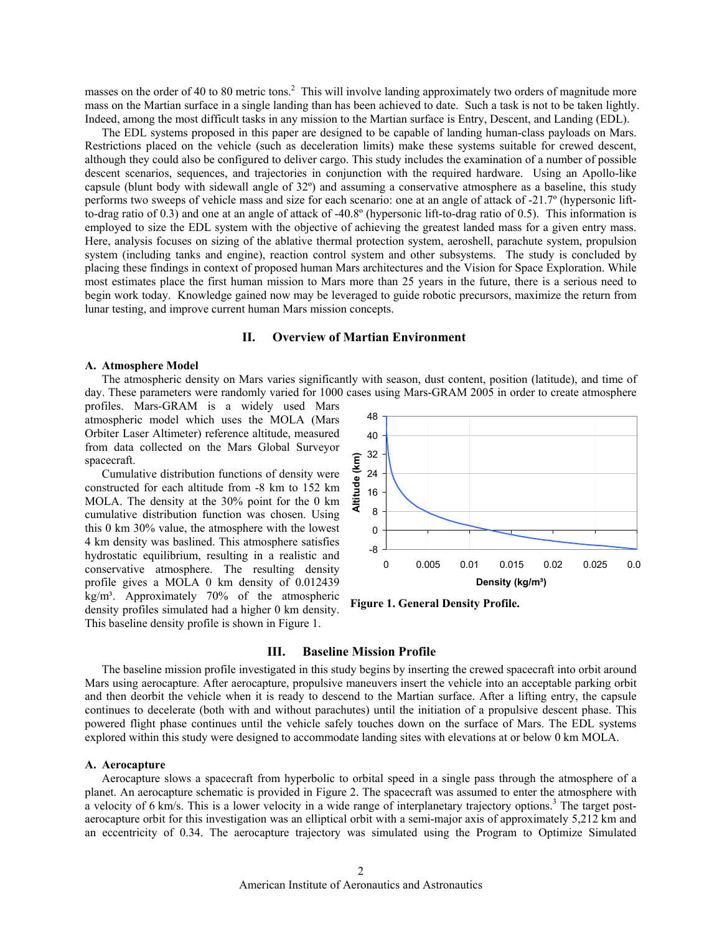masses on the order of 40 to 80 metric tons.<sup>2</sup> This will involve landing approximately two orders of magnitude more mass on the Martian surface in a single landing than has been achieved to date. Such a task is not to be taken lightly. Indeed, among the most difficult tasks in any mission to the Martian surface is Entry, Descent, and Landing (EDL).

The EDL systems proposed in this paper are designed to be capable of landing human-class payloads on Mars. Restrictions placed on the vehicle (such as deceleration limits) make these systems suitable for crewed descent, although they could also be configured to deliver cargo. This study includes the examination of a number of possible descent scenarios, sequences, and trajectories in conjunction with the required hardware. Using an Apollo-like capsule (blunt body with sidewall angle of 32º) and assuming a conservative atmosphere as a baseline, this study performs two sweeps of vehicle mass and size for each scenario: one at an angle of attack of -21.7º (hypersonic liftto-drag ratio of 0.3) and one at an angle of attack of -40.8º (hypersonic lift-to-drag ratio of 0.5). This information is employed to size the EDL system with the objective of achieving the greatest landed mass for a given entry mass. Here, analysis focuses on sizing of the ablative thermal protection system, aeroshell, parachute system, propulsion system (including tanks and engine), reaction control system and other subsystems. The study is concluded by placing these findings in context of proposed human Mars architectures and the Vision for Space Exploration. While most estimates place the first human mission to Mars more than 25 years in the future, there is a serious need to begin work today. Knowledge gained now may be leveraged to guide robotic precursors, maximize the return from lunar testing, and improve current human Mars mission concepts.

# **II. Overview of Martian Environment**

#### **A. Atmosphere Model**

The atmospheric density on Mars varies significantly with season, dust content, position (latitude), and time of day. These parameters were randomly varied for 1000 cases using Mars-GRAM 2005 in order to create atmosphere

profiles. Mars-GRAM is a widely used Mars atmospheric model which uses the MOLA (Mars Orbiter Laser Altimeter) reference altitude, measured from data collected on the Mars Global Surveyor spacecraft.

Cumulative distribution functions of density were constructed for each altitude from -8 km to 152 km MOLA. The density at the 30% point for the 0 km cumulative distribution function was chosen. Using this 0 km 30% value, the atmosphere with the lowest 4 km density was baslined. This atmosphere satisfies hydrostatic equilibrium, resulting in a realistic and conservative atmosphere. The resulting density profile gives a MOLA 0 km density of 0.012439 kg/m³. Approximately 70% of the atmospheric density profiles simulated had a higher 0 km density. This baseline density profile is shown in Figure 1.



**Figure 1. General Density Profile.** 

#### **III. Baseline Mission Profile**

The baseline mission profile investigated in this study begins by inserting the crewed spacecraft into orbit around Mars using aerocapture. After aerocapture, propulsive maneuvers insert the vehicle into an acceptable parking orbit and then deorbit the vehicle when it is ready to descend to the Martian surface. After a lifting entry, the capsule continues to decelerate (both with and without parachutes) until the initiation of a propulsive descent phase. This powered flight phase continues until the vehicle safely touches down on the surface of Mars. The EDL systems explored within this study were designed to accommodate landing sites with elevations at or below 0 km MOLA.

#### **A. Aerocapture**

Aerocapture slows a spacecraft from hyperbolic to orbital speed in a single pass through the atmosphere of a planet. An aerocapture schematic is provided in Figure 2. The spacecraft was assumed to enter the atmosphere with a velocity of 6 km/s. This is a lower velocity in a wide range of interplanetary trajectory options.<sup>3</sup> The target postaerocapture orbit for this investigation was an elliptical orbit with a semi-major axis of approximately 5,212 km and an eccentricity of 0.34. The aerocapture trajectory was simulated using the Program to Optimize Simulated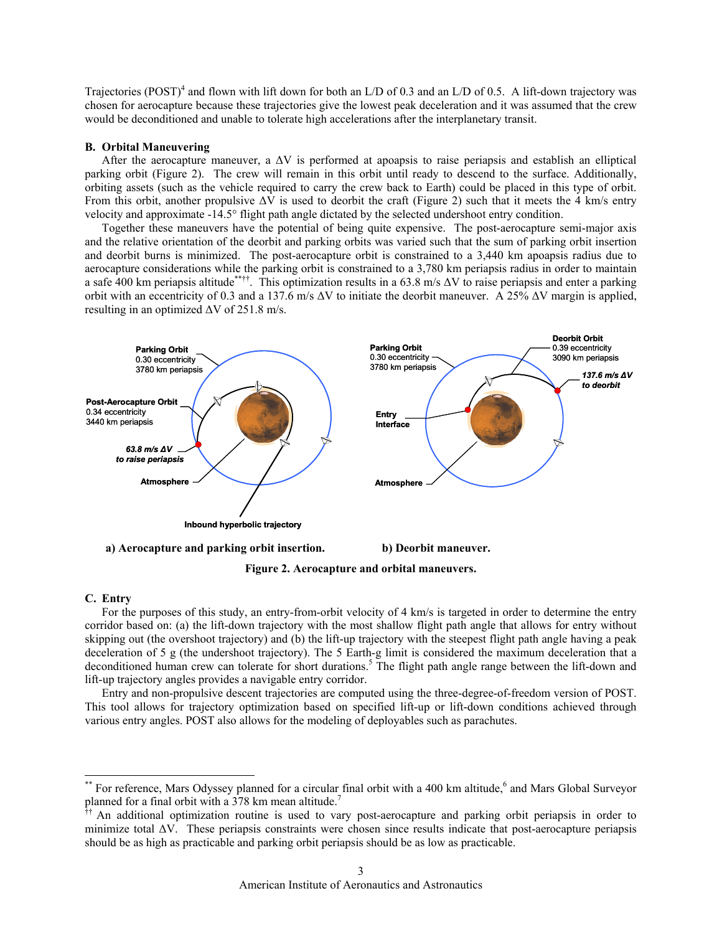Trajectories (POST)<sup>4</sup> and flown with lift down for both an L/D of 0.3 and an L/D of 0.5. A lift-down trajectory was chosen for aerocapture because these trajectories give the lowest peak deceleration and it was assumed that the crew would be deconditioned and unable to tolerate high accelerations after the interplanetary transit.

## **B. Orbital Maneuvering**

After the aerocapture maneuver, a ∆V is performed at apoapsis to raise periapsis and establish an elliptical parking orbit (Figure 2). The crew will remain in this orbit until ready to descend to the surface. Additionally, orbiting assets (such as the vehicle required to carry the crew back to Earth) could be placed in this type of orbit. From this orbit, another propulsive  $\Delta V$  is used to deorbit the craft (Figure 2) such that it meets the 4 km/s entry velocity and approximate -14.5° flight path angle dictated by the selected undershoot entry condition.

Together these maneuvers have the potential of being quite expensive. The post-aerocapture semi-major axis and the relative orientation of the deorbit and parking orbits was varied such that the sum of parking orbit insertion and deorbit burns is minimized. The post-aerocapture orbit is constrained to a 3,440 km apoapsis radius due to aerocapture considerations while the parking orbit is constrained to a 3,780 km periapsis radius in order to maintain a safe 400 km periapsis altitude\*\*††. This optimization results in a 63.8 m/s ∆V to raise periapsis and enter a parking orbit with an eccentricity of 0.3 and a 137.6 m/s ∆V to initiate the deorbit maneuver. A 25% ∆V margin is applied, resulting in an optimized  $\Delta V$  of 251.8 m/s.



**Figure 2. Aerocapture and orbital maneuvers.** 

# **C. Entry**

 $\overline{a}$ 

For the purposes of this study, an entry-from-orbit velocity of 4 km/s is targeted in order to determine the entry corridor based on: (a) the lift-down trajectory with the most shallow flight path angle that allows for entry without skipping out (the overshoot trajectory) and (b) the lift-up trajectory with the steepest flight path angle having a peak deceleration of 5 g (the undershoot trajectory). The 5 Earth-g limit is considered the maximum deceleration that a deconditioned human crew can tolerate for short durations.<sup>5</sup> The flight path angle range between the lift-down and lift-up trajectory angles provides a navigable entry corridor.

Entry and non-propulsive descent trajectories are computed using the three-degree-of-freedom version of POST. This tool allows for trajectory optimization based on specified lift-up or lift-down conditions achieved through various entry angles. POST also allows for the modeling of deployables such as parachutes.

<sup>\*\*</sup> For reference, Mars Odyssey planned for a circular final orbit with a 400 km altitude,<sup>6</sup> and Mars Global Surveyor planned for a final orbit with a 378 km mean altitude.<sup>7</sup>

<sup>††</sup> An additional optimization routine is used to vary post-aerocapture and parking orbit periapsis in order to minimize total ∆V. These periapsis constraints were chosen since results indicate that post-aerocapture periapsis should be as high as practicable and parking orbit periapsis should be as low as practicable.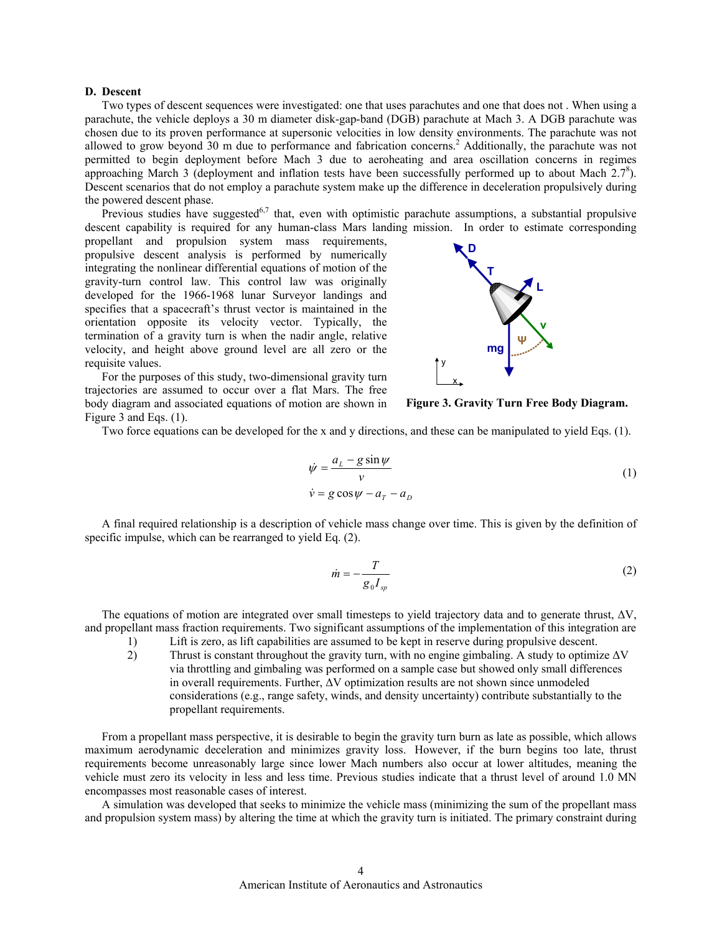# **D. Descent**

Two types of descent sequences were investigated: one that uses parachutes and one that does not . When using a parachute, the vehicle deploys a 30 m diameter disk-gap-band (DGB) parachute at Mach 3. A DGB parachute was chosen due to its proven performance at supersonic velocities in low density environments. The parachute was not allowed to grow beyond 30 m due to performance and fabrication concerns.<sup>2</sup> Additionally, the parachute was not permitted to begin deployment before Mach 3 due to aeroheating and area oscillation concerns in regimes approaching March 3 (deployment and inflation tests have been successfully performed up to about Mach  $2.7<sup>8</sup>$ ). Descent scenarios that do not employ a parachute system make up the difference in deceleration propulsively during the powered descent phase.

Previous studies have suggested<sup>6,7</sup> that, even with optimistic parachute assumptions, a substantial propulsive descent capability is required for any human-class Mars landing mission. In order to estimate corresponding

propellant and propulsion system mass requirements, propulsive descent analysis is performed by numerically integrating the nonlinear differential equations of motion of the gravity-turn control law. This control law was originally developed for the 1966-1968 lunar Surveyor landings and specifies that a spacecraft's thrust vector is maintained in the orientation opposite its velocity vector. Typically, the termination of a gravity turn is when the nadir angle, relative velocity, and height above ground level are all zero or the requisite values.

For the purposes of this study, two-dimensional gravity turn trajectories are assumed to occur over a flat Mars. The free body diagram and associated equations of motion are shown in Figure 3 and Eqs. (1).



**Figure 3. Gravity Turn Free Body Diagram.** 

Two force equations can be developed for the x and y directions, and these can be manipulated to yield Eqs. (1).

$$
\dot{\psi} = \frac{a_L - g \sin \psi}{v}
$$
\n
$$
\dot{\nu} = g \cos \psi - a_T - a_D \tag{1}
$$

A final required relationship is a description of vehicle mass change over time. This is given by the definition of specific impulse, which can be rearranged to yield Eq. (2).

$$
\dot{m} = -\frac{T}{g_0 I_{sp}}\tag{2}
$$

 The equations of motion are integrated over small timesteps to yield trajectory data and to generate thrust, ∆V, and propellant mass fraction requirements. Two significant assumptions of the implementation of this integration are

- 1) Lift is zero, as lift capabilities are assumed to be kept in reserve during propulsive descent.
- 2) Thrust is constant throughout the gravity turn, with no engine gimbaling. A study to optimize ∆V via throttling and gimbaling was performed on a sample case but showed only small differences in overall requirements. Further, ∆V optimization results are not shown since unmodeled considerations (e.g., range safety, winds, and density uncertainty) contribute substantially to the propellant requirements.

From a propellant mass perspective, it is desirable to begin the gravity turn burn as late as possible, which allows maximum aerodynamic deceleration and minimizes gravity loss. However, if the burn begins too late, thrust requirements become unreasonably large since lower Mach numbers also occur at lower altitudes, meaning the vehicle must zero its velocity in less and less time. Previous studies indicate that a thrust level of around 1.0 MN encompasses most reasonable cases of interest.

A simulation was developed that seeks to minimize the vehicle mass (minimizing the sum of the propellant mass and propulsion system mass) by altering the time at which the gravity turn is initiated. The primary constraint during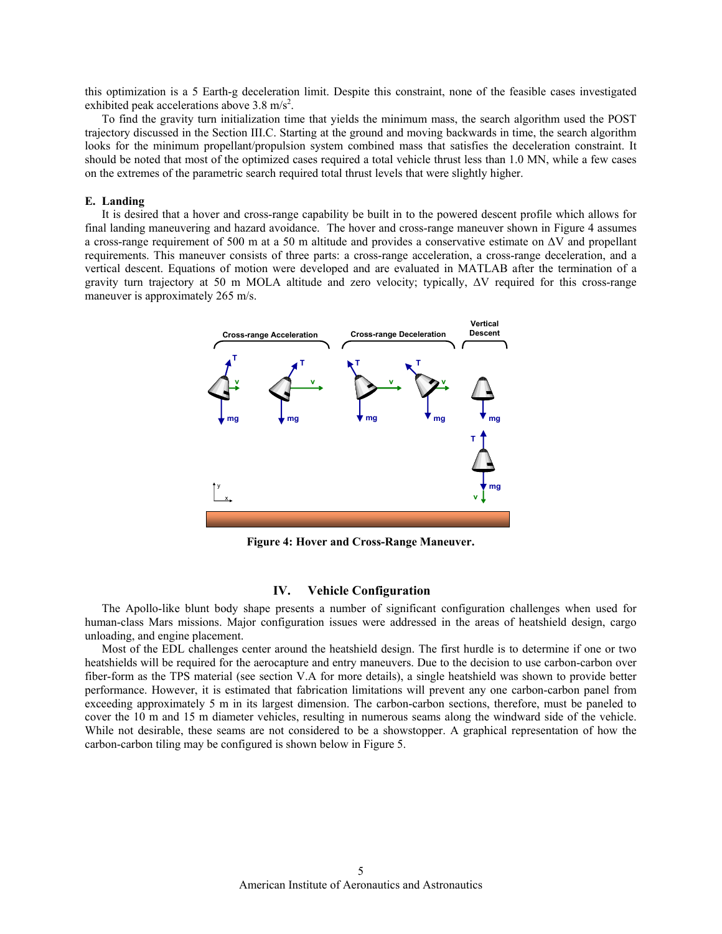this optimization is a 5 Earth-g deceleration limit. Despite this constraint, none of the feasible cases investigated exhibited peak accelerations above  $3.8 \text{ m/s}^2$ .

To find the gravity turn initialization time that yields the minimum mass, the search algorithm used the POST trajectory discussed in the Section III.C. Starting at the ground and moving backwards in time, the search algorithm looks for the minimum propellant/propulsion system combined mass that satisfies the deceleration constraint. It should be noted that most of the optimized cases required a total vehicle thrust less than 1.0 MN, while a few cases on the extremes of the parametric search required total thrust levels that were slightly higher.

#### **E. Landing**

It is desired that a hover and cross-range capability be built in to the powered descent profile which allows for final landing maneuvering and hazard avoidance. The hover and cross-range maneuver shown in Figure 4 assumes a cross-range requirement of 500 m at a 50 m altitude and provides a conservative estimate on ∆V and propellant requirements. This maneuver consists of three parts: a cross-range acceleration, a cross-range deceleration, and a vertical descent. Equations of motion were developed and are evaluated in MATLAB after the termination of a gravity turn trajectory at 50 m MOLA altitude and zero velocity; typically, ∆V required for this cross-range maneuver is approximately 265 m/s.



**Figure 4: Hover and Cross-Range Maneuver.**

# **IV. Vehicle Configuration**

The Apollo-like blunt body shape presents a number of significant configuration challenges when used for human-class Mars missions. Major configuration issues were addressed in the areas of heatshield design, cargo unloading, and engine placement.

Most of the EDL challenges center around the heatshield design. The first hurdle is to determine if one or two heatshields will be required for the aerocapture and entry maneuvers. Due to the decision to use carbon-carbon over fiber-form as the TPS material (see section V.A for more details), a single heatshield was shown to provide better performance. However, it is estimated that fabrication limitations will prevent any one carbon-carbon panel from exceeding approximately 5 m in its largest dimension. The carbon-carbon sections, therefore, must be paneled to cover the 10 m and 15 m diameter vehicles, resulting in numerous seams along the windward side of the vehicle. While not desirable, these seams are not considered to be a showstopper. A graphical representation of how the carbon-carbon tiling may be configured is shown below in Figure 5.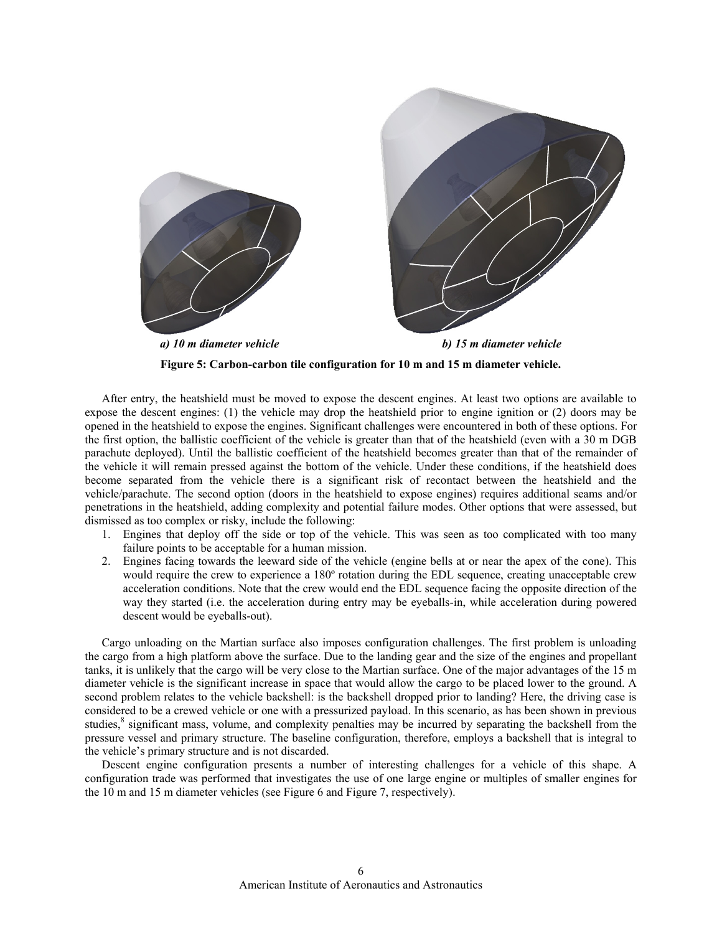

**Figure 5: Carbon-carbon tile configuration for 10 m and 15 m diameter vehicle.** 

After entry, the heatshield must be moved to expose the descent engines. At least two options are available to expose the descent engines: (1) the vehicle may drop the heatshield prior to engine ignition or (2) doors may be opened in the heatshield to expose the engines. Significant challenges were encountered in both of these options. For the first option, the ballistic coefficient of the vehicle is greater than that of the heatshield (even with a 30 m DGB parachute deployed). Until the ballistic coefficient of the heatshield becomes greater than that of the remainder of the vehicle it will remain pressed against the bottom of the vehicle. Under these conditions, if the heatshield does become separated from the vehicle there is a significant risk of recontact between the heatshield and the vehicle/parachute. The second option (doors in the heatshield to expose engines) requires additional seams and/or penetrations in the heatshield, adding complexity and potential failure modes. Other options that were assessed, but dismissed as too complex or risky, include the following:

- 1. Engines that deploy off the side or top of the vehicle. This was seen as too complicated with too many failure points to be acceptable for a human mission.
- 2. Engines facing towards the leeward side of the vehicle (engine bells at or near the apex of the cone). This would require the crew to experience a 180º rotation during the EDL sequence, creating unacceptable crew acceleration conditions. Note that the crew would end the EDL sequence facing the opposite direction of the way they started (i.e. the acceleration during entry may be eyeballs-in, while acceleration during powered descent would be eyeballs-out).

Cargo unloading on the Martian surface also imposes configuration challenges. The first problem is unloading the cargo from a high platform above the surface. Due to the landing gear and the size of the engines and propellant tanks, it is unlikely that the cargo will be very close to the Martian surface. One of the major advantages of the 15 m diameter vehicle is the significant increase in space that would allow the cargo to be placed lower to the ground. A second problem relates to the vehicle backshell: is the backshell dropped prior to landing? Here, the driving case is considered to be a crewed vehicle or one with a pressurized payload. In this scenario, as has been shown in previous studies,<sup>8</sup> significant mass, volume, and complexity penalties may be incurred by separating the backshell from the pressure vessel and primary structure. The baseline configuration, therefore, employs a backshell that is integral to the vehicle's primary structure and is not discarded.

Descent engine configuration presents a number of interesting challenges for a vehicle of this shape. A configuration trade was performed that investigates the use of one large engine or multiples of smaller engines for the 10 m and 15 m diameter vehicles (see Figure 6 and Figure 7, respectively).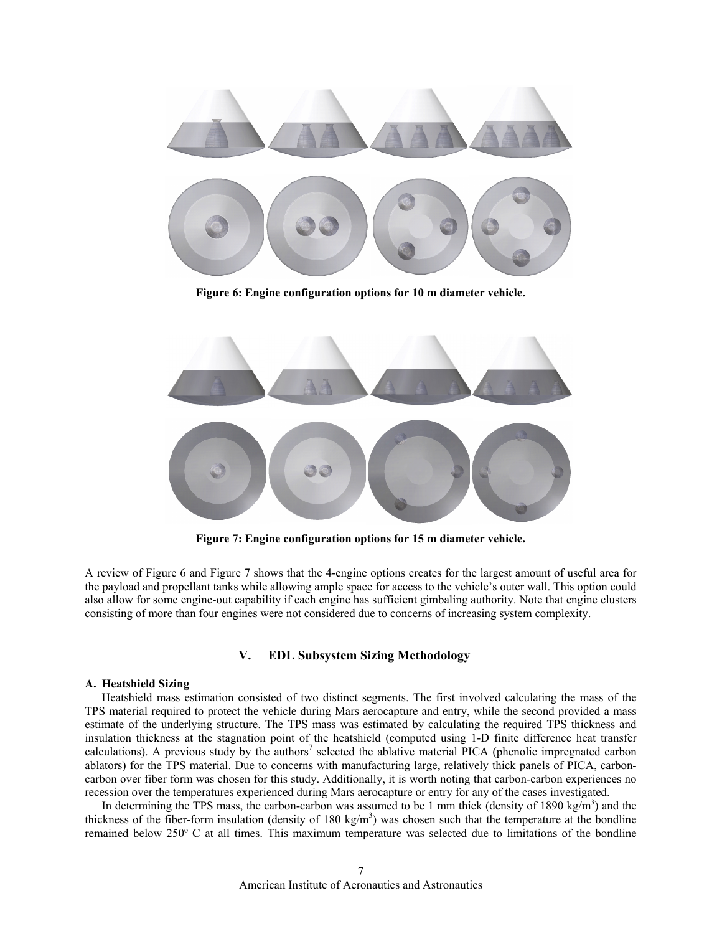

**Figure 6: Engine configuration options for 10 m diameter vehicle.** 



**Figure 7: Engine configuration options for 15 m diameter vehicle.** 

A review of Figure 6 and Figure 7 shows that the 4-engine options creates for the largest amount of useful area for the payload and propellant tanks while allowing ample space for access to the vehicle's outer wall. This option could also allow for some engine-out capability if each engine has sufficient gimbaling authority. Note that engine clusters consisting of more than four engines were not considered due to concerns of increasing system complexity.

# **V. EDL Subsystem Sizing Methodology**

#### **A. Heatshield Sizing**

Heatshield mass estimation consisted of two distinct segments. The first involved calculating the mass of the TPS material required to protect the vehicle during Mars aerocapture and entry, while the second provided a mass estimate of the underlying structure. The TPS mass was estimated by calculating the required TPS thickness and insulation thickness at the stagnation point of the heatshield (computed using 1-D finite difference heat transfer calculations). A previous study by the authors<sup>7</sup> selected the ablative material PICA (phenolic impregnated carbon ablators) for the TPS material. Due to concerns with manufacturing large, relatively thick panels of PICA, carboncarbon over fiber form was chosen for this study. Additionally, it is worth noting that carbon-carbon experiences no recession over the temperatures experienced during Mars aerocapture or entry for any of the cases investigated.

In determining the TPS mass, the carbon-carbon was assumed to be 1 mm thick (density of 1890 kg/m<sup>3</sup>) and the thickness of the fiber-form insulation (density of 180 kg/m<sup>3</sup>) was chosen such that the temperature at the bondline remained below 250º C at all times. This maximum temperature was selected due to limitations of the bondline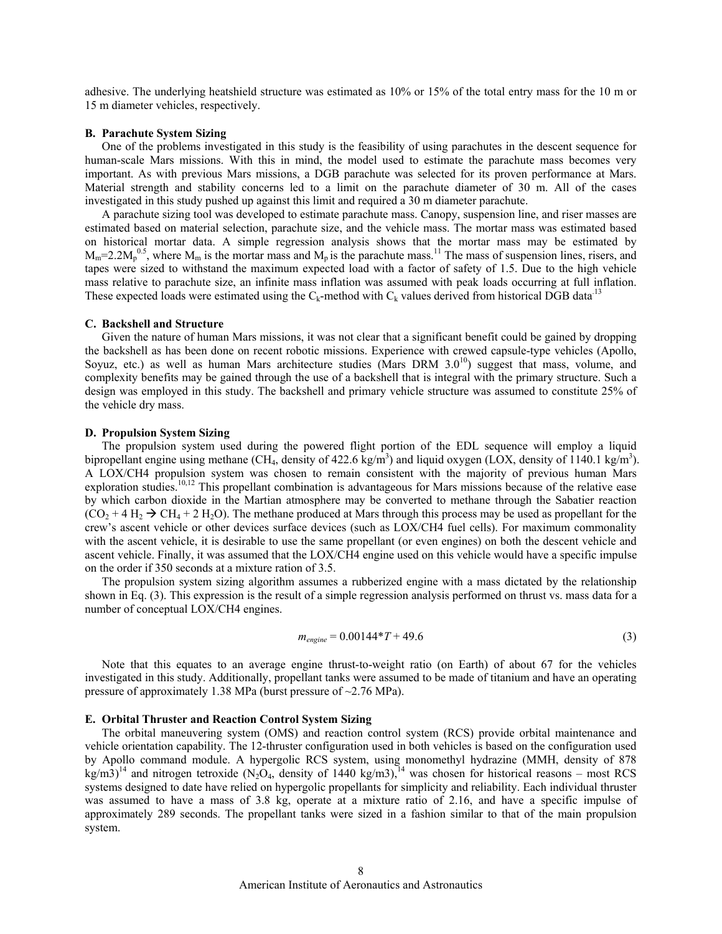adhesive. The underlying heatshield structure was estimated as 10% or 15% of the total entry mass for the 10 m or 15 m diameter vehicles, respectively.

#### **B. Parachute System Sizing**

One of the problems investigated in this study is the feasibility of using parachutes in the descent sequence for human-scale Mars missions. With this in mind, the model used to estimate the parachute mass becomes very important. As with previous Mars missions, a DGB parachute was selected for its proven performance at Mars. Material strength and stability concerns led to a limit on the parachute diameter of 30 m. All of the cases investigated in this study pushed up against this limit and required a 30 m diameter parachute.

A parachute sizing tool was developed to estimate parachute mass. Canopy, suspension line, and riser masses are estimated based on material selection, parachute size, and the vehicle mass. The mortar mass was estimated based on historical mortar data. A simple regression analysis shows that the mortar mass may be estimated by  $M_m$ =2.2 $M_p^{0.5}$ , where  $M_m$  is the mortar mass and  $M_p$  is the parachute mass.<sup>11</sup> The mass of suspension lines, risers, and tapes were sized to withstand the maximum expected load with a factor of safety of 1.5. Due to the high vehicle mass relative to parachute size, an infinite mass inflation was assumed with peak loads occurring at full inflation. These expected loads were estimated using the  $C_k$ -method with  $C_k$  values derived from historical DGB data<sup>13</sup>

#### **C. Backshell and Structure**

Given the nature of human Mars missions, it was not clear that a significant benefit could be gained by dropping the backshell as has been done on recent robotic missions. Experience with crewed capsule-type vehicles (Apollo, Soyuz, etc.) as well as human Mars architecture studies (Mars DRM  $3.0^{10}$ ) suggest that mass, volume, and complexity benefits may be gained through the use of a backshell that is integral with the primary structure. Such a design was employed in this study. The backshell and primary vehicle structure was assumed to constitute 25% of the vehicle dry mass.

# **D. Propulsion System Sizing**

The propulsion system used during the powered flight portion of the EDL sequence will employ a liquid bipropellant engine using methane (CH<sub>4</sub>, density of 422.6 kg/m<sup>3</sup>) and liquid oxygen (LOX, density of 1140.1 kg/m<sup>3</sup>). A LOX/CH4 propulsion system was chosen to remain consistent with the majority of previous human Mars exploration studies.<sup>10,12</sup> This propellant combination is advantageous for Mars missions because of the relative ease by which carbon dioxide in the Martian atmosphere may be converted to methane through the Sabatier reaction  $(CO_2 + 4 H_2 \rightarrow CH_4 + 2 H_2O)$ . The methane produced at Mars through this process may be used as propellant for the crew's ascent vehicle or other devices surface devices (such as LOX/CH4 fuel cells). For maximum commonality with the ascent vehicle, it is desirable to use the same propellant (or even engines) on both the descent vehicle and ascent vehicle. Finally, it was assumed that the LOX/CH4 engine used on this vehicle would have a specific impulse on the order if 350 seconds at a mixture ration of 3.5.

The propulsion system sizing algorithm assumes a rubberized engine with a mass dictated by the relationship shown in Eq. (3). This expression is the result of a simple regression analysis performed on thrust vs. mass data for a number of conceptual LOX/CH4 engines.

$$
m_{engine} = 0.00144*T + 49.6\tag{3}
$$

Note that this equates to an average engine thrust-to-weight ratio (on Earth) of about 67 for the vehicles investigated in this study. Additionally, propellant tanks were assumed to be made of titanium and have an operating pressure of approximately 1.38 MPa (burst pressure of ~2.76 MPa).

# **E. Orbital Thruster and Reaction Control System Sizing**

The orbital maneuvering system (OMS) and reaction control system (RCS) provide orbital maintenance and vehicle orientation capability. The 12-thruster configuration used in both vehicles is based on the configuration used by Apollo command module. A hypergolic RCS system, using monomethyl hydrazine (MMH, density of 878  $kg/m3$ <sup>14</sup> and nitrogen tetroxide (N<sub>2</sub>O<sub>4</sub>, density of 1440 kg/m3),<sup>14</sup> was chosen for historical reasons – most RCS systems designed to date have relied on hypergolic propellants for simplicity and reliability. Each individual thruster was assumed to have a mass of 3.8 kg, operate at a mixture ratio of 2.16, and have a specific impulse of approximately 289 seconds. The propellant tanks were sized in a fashion similar to that of the main propulsion system.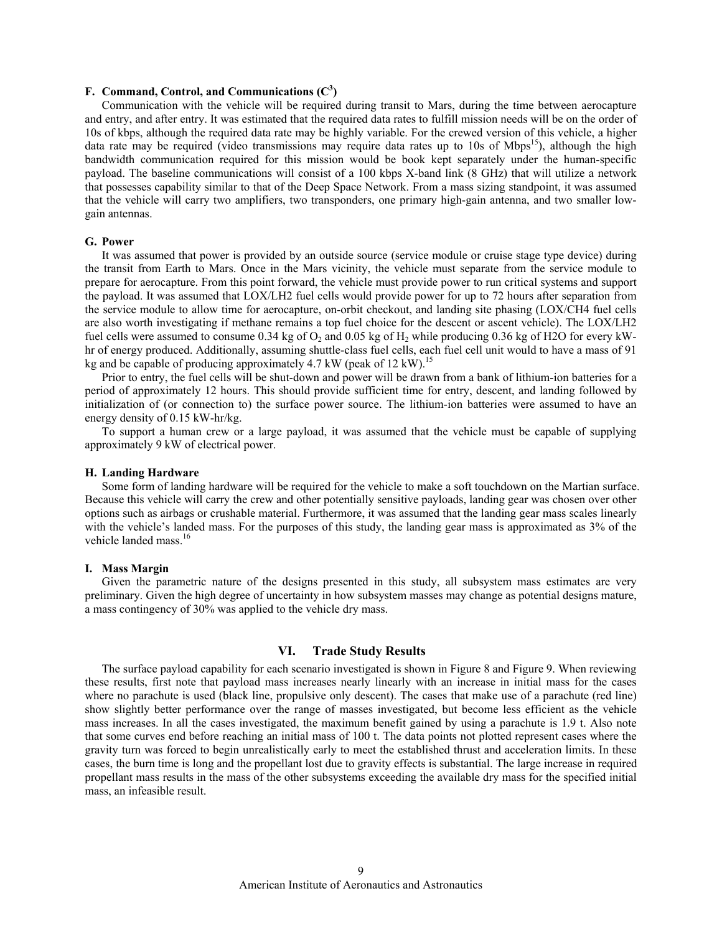# **F.** Command, Control, and Communications  $(C^3)$

Communication with the vehicle will be required during transit to Mars, during the time between aerocapture and entry, and after entry. It was estimated that the required data rates to fulfill mission needs will be on the order of 10s of kbps, although the required data rate may be highly variable. For the crewed version of this vehicle, a higher data rate may be required (video transmissions may require data rates up to 10s of Mbps<sup>15</sup>), although the high bandwidth communication required for this mission would be book kept separately under the human-specific payload. The baseline communications will consist of a 100 kbps X-band link (8 GHz) that will utilize a network that possesses capability similar to that of the Deep Space Network. From a mass sizing standpoint, it was assumed that the vehicle will carry two amplifiers, two transponders, one primary high-gain antenna, and two smaller lowgain antennas.

#### **G. Power**

It was assumed that power is provided by an outside source (service module or cruise stage type device) during the transit from Earth to Mars. Once in the Mars vicinity, the vehicle must separate from the service module to prepare for aerocapture. From this point forward, the vehicle must provide power to run critical systems and support the payload. It was assumed that LOX/LH2 fuel cells would provide power for up to 72 hours after separation from the service module to allow time for aerocapture, on-orbit checkout, and landing site phasing (LOX/CH4 fuel cells are also worth investigating if methane remains a top fuel choice for the descent or ascent vehicle). The LOX/LH2 fuel cells were assumed to consume  $0.34$  kg of  $O_2$  and  $0.05$  kg of  $H_2$  while producing  $0.36$  kg of H2O for every kWhr of energy produced. Additionally, assuming shuttle-class fuel cells, each fuel cell unit would to have a mass of 91 kg and be capable of producing approximately 4.7 kW (peak of 12 kW).<sup>15</sup>

Prior to entry, the fuel cells will be shut-down and power will be drawn from a bank of lithium-ion batteries for a period of approximately 12 hours. This should provide sufficient time for entry, descent, and landing followed by initialization of (or connection to) the surface power source. The lithium-ion batteries were assumed to have an energy density of 0.15 kW-hr/kg.

To support a human crew or a large payload, it was assumed that the vehicle must be capable of supplying approximately 9 kW of electrical power.

## **H. Landing Hardware**

Some form of landing hardware will be required for the vehicle to make a soft touchdown on the Martian surface. Because this vehicle will carry the crew and other potentially sensitive payloads, landing gear was chosen over other options such as airbags or crushable material. Furthermore, it was assumed that the landing gear mass scales linearly with the vehicle's landed mass. For the purposes of this study, the landing gear mass is approximated as 3% of the vehicle landed mass.<sup>16</sup>

#### **I. Mass Margin**

Given the parametric nature of the designs presented in this study, all subsystem mass estimates are very preliminary. Given the high degree of uncertainty in how subsystem masses may change as potential designs mature, a mass contingency of 30% was applied to the vehicle dry mass.

#### **VI. Trade Study Results**

The surface payload capability for each scenario investigated is shown in Figure 8 and Figure 9. When reviewing these results, first note that payload mass increases nearly linearly with an increase in initial mass for the cases where no parachute is used (black line, propulsive only descent). The cases that make use of a parachute (red line) show slightly better performance over the range of masses investigated, but become less efficient as the vehicle mass increases. In all the cases investigated, the maximum benefit gained by using a parachute is 1.9 t. Also note that some curves end before reaching an initial mass of 100 t. The data points not plotted represent cases where the gravity turn was forced to begin unrealistically early to meet the established thrust and acceleration limits. In these cases, the burn time is long and the propellant lost due to gravity effects is substantial. The large increase in required propellant mass results in the mass of the other subsystems exceeding the available dry mass for the specified initial mass, an infeasible result.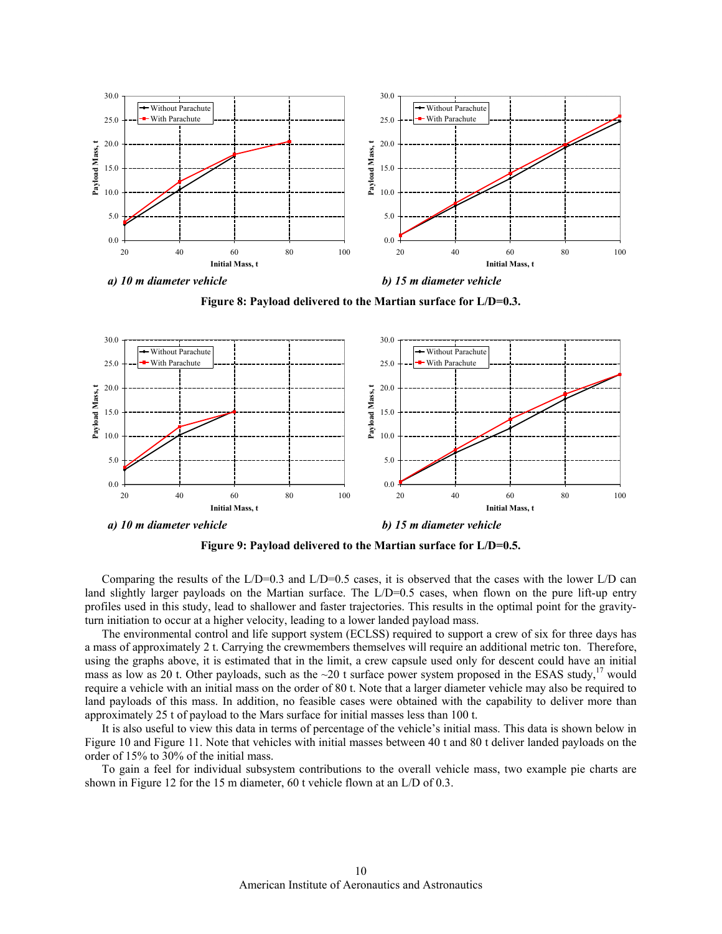

**Figure 8: Payload delivered to the Martian surface for L/D=0.3.** 



**Figure 9: Payload delivered to the Martian surface for L/D=0.5.** 

Comparing the results of the  $L/D=0.3$  and  $L/D=0.5$  cases, it is observed that the cases with the lower  $L/D$  can land slightly larger payloads on the Martian surface. The L/D=0.5 cases, when flown on the pure lift-up entry profiles used in this study, lead to shallower and faster trajectories. This results in the optimal point for the gravityturn initiation to occur at a higher velocity, leading to a lower landed payload mass.

The environmental control and life support system (ECLSS) required to support a crew of six for three days has a mass of approximately 2 t. Carrying the crewmembers themselves will require an additional metric ton. Therefore, using the graphs above, it is estimated that in the limit, a crew capsule used only for descent could have an initial mass as low as 20 t. Other payloads, such as the  $\sim$ 20 t surface power system proposed in the ESAS study,<sup>17</sup> would require a vehicle with an initial mass on the order of 80 t. Note that a larger diameter vehicle may also be required to land payloads of this mass. In addition, no feasible cases were obtained with the capability to deliver more than approximately 25 t of payload to the Mars surface for initial masses less than 100 t.

It is also useful to view this data in terms of percentage of the vehicle's initial mass. This data is shown below in Figure 10 and Figure 11. Note that vehicles with initial masses between 40 t and 80 t deliver landed payloads on the order of 15% to 30% of the initial mass.

To gain a feel for individual subsystem contributions to the overall vehicle mass, two example pie charts are shown in Figure 12 for the 15 m diameter, 60 t vehicle flown at an L/D of 0.3.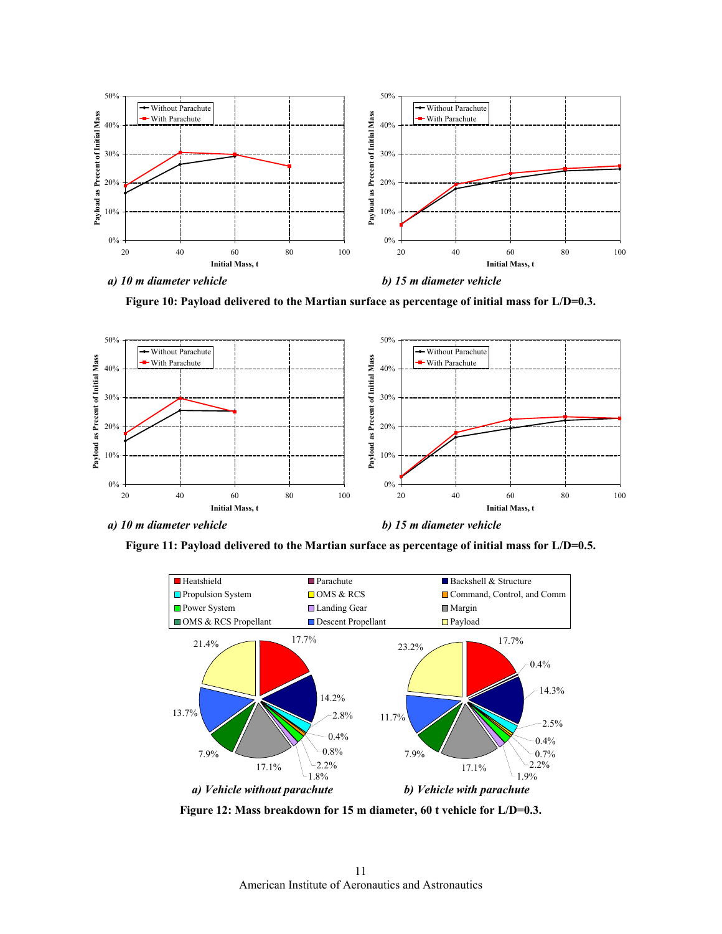

Figure 10: Payload delivered to the Martian surface as percentage of initial mass for L/D=0.3.



**Figure 11: Payload delivered to the Martian surface as percentage of initial mass for L/D=0.5.** 



**Figure 12: Mass breakdown for 15 m diameter, 60 t vehicle for L/D=0.3.**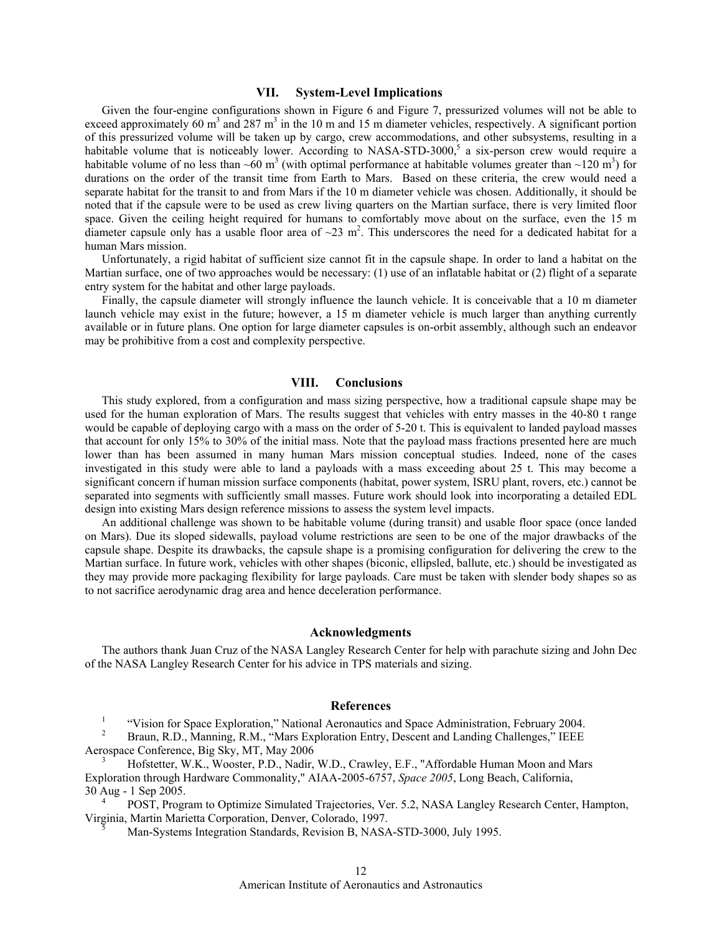# **VII. System-Level Implications**

Given the four-engine configurations shown in Figure 6 and Figure 7, pressurized volumes will not be able to exceed approximately 60  $m^3$  and 287  $m^3$  in the 10 m and 15 m diameter vehicles, respectively. A significant portion of this pressurized volume will be taken up by cargo, crew accommodations, and other subsystems, resulting in a habitable volume that is noticeably lower. According to NASA-STD-3000,<sup>5</sup> a six-person crew would require a habitable volume of no less than  $\sim 60$  m<sup>3</sup> (with optimal performance at habitable volumes greater than  $\sim 120$  m<sup>3</sup>) for durations on the order of the transit time from Earth to Mars. Based on these criteria, the crew would need a separate habitat for the transit to and from Mars if the 10 m diameter vehicle was chosen. Additionally, it should be noted that if the capsule were to be used as crew living quarters on the Martian surface, there is very limited floor space. Given the ceiling height required for humans to comfortably move about on the surface, even the 15 m diameter capsule only has a usable floor area of  $\sim$ 23 m<sup>2</sup>. This underscores the need for a dedicated habitat for a human Mars mission.

Unfortunately, a rigid habitat of sufficient size cannot fit in the capsule shape. In order to land a habitat on the Martian surface, one of two approaches would be necessary: (1) use of an inflatable habitat or (2) flight of a separate entry system for the habitat and other large payloads.

Finally, the capsule diameter will strongly influence the launch vehicle. It is conceivable that a 10 m diameter launch vehicle may exist in the future; however, a 15 m diameter vehicle is much larger than anything currently available or in future plans. One option for large diameter capsules is on-orbit assembly, although such an endeavor may be prohibitive from a cost and complexity perspective.

### **VIII. Conclusions**

This study explored, from a configuration and mass sizing perspective, how a traditional capsule shape may be used for the human exploration of Mars. The results suggest that vehicles with entry masses in the 40-80 t range would be capable of deploying cargo with a mass on the order of 5-20 t. This is equivalent to landed payload masses that account for only 15% to 30% of the initial mass. Note that the payload mass fractions presented here are much lower than has been assumed in many human Mars mission conceptual studies. Indeed, none of the cases investigated in this study were able to land a payloads with a mass exceeding about 25 t. This may become a significant concern if human mission surface components (habitat, power system, ISRU plant, rovers, etc.) cannot be separated into segments with sufficiently small masses. Future work should look into incorporating a detailed EDL design into existing Mars design reference missions to assess the system level impacts.

An additional challenge was shown to be habitable volume (during transit) and usable floor space (once landed on Mars). Due its sloped sidewalls, payload volume restrictions are seen to be one of the major drawbacks of the capsule shape. Despite its drawbacks, the capsule shape is a promising configuration for delivering the crew to the Martian surface. In future work, vehicles with other shapes (biconic, ellipsled, ballute, etc.) should be investigated as they may provide more packaging flexibility for large payloads. Care must be taken with slender body shapes so as to not sacrifice aerodynamic drag area and hence deceleration performance.

# **Acknowledgments**

The authors thank Juan Cruz of the NASA Langley Research Center for help with parachute sizing and John Dec of the NASA Langley Research Center for his advice in TPS materials and sizing.

#### **References**

<sup>1</sup> "Vision for Space Exploration," National Aeronautics and Space Administration, February 2004.<br><sup>2</sup> Braun, R.D., Manning, R.M., "Mars Exploration Entry, Descent and Landing Challenges," IEEE

Aerospace Conference, Big Sky, MT, May 2006<br>
<sup>3</sup> Hofstetter, W.K., Wooster, P.D., Nadir, W.D., Crawley, E.F., "Affordable Human Moon and Mars

Exploration through Hardware Commonality," AIAA-2005-6757, *Space 2005*, Long Beach, California,

30 Aug - 1 Sep 2005. 4 POST, Program to Optimize Simulated Trajectories, Ver. 5.2, NASA Langley Research Center, Hampton, Virginia, Martin Marietta Corporation, Denver, Colorado, 1997.<br>Man-Systems Integration Standards, Revision B, NASA-STD-3000, July 1995.